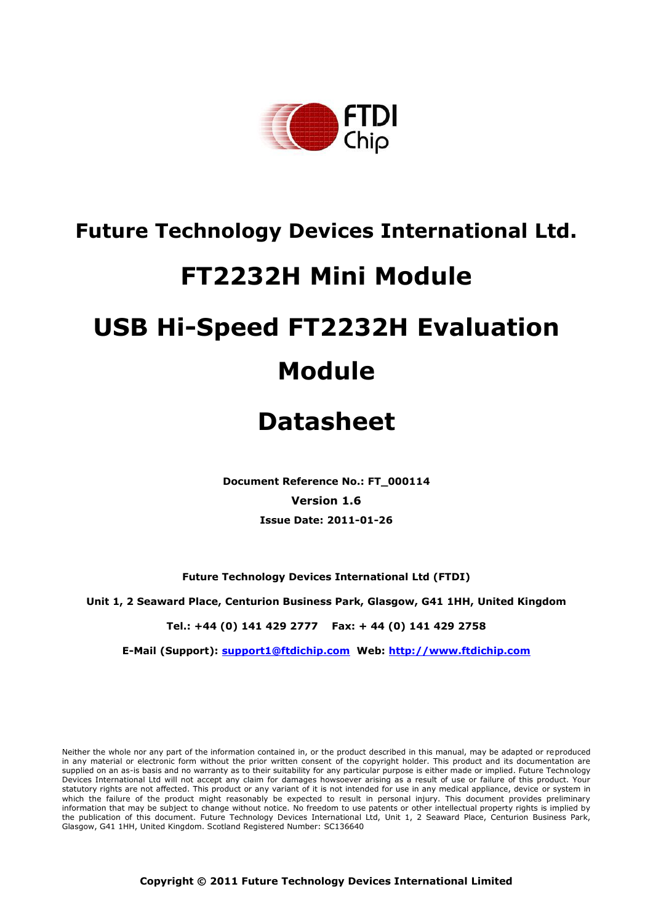

## **Future Technology Devices International Ltd.**

## **FT2232H Mini Module**

# **USB Hi-Speed FT2232H Evaluation Module**

## **Datasheet**

**Document Reference No.: FT\_000114 Version 1.6 Issue Date: 2011-01-26**

**Future Technology Devices International Ltd (FTDI)**

**Unit 1, 2 Seaward Place, Centurion Business Park, Glasgow, G41 1HH, United Kingdom**

**Tel.: +44 (0) 141 429 2777 Fax: + 44 (0) 141 429 2758**

**E-Mail (Support): support1@ftdichip.com Web: http://www.ftdichip.com**

Neither the whole nor any part of the information contained in, or the product described in this manual, may be adapted or reproduced in any material or electronic form without the prior written consent of the copyright holder. This product and its documentation are supplied on an as-is basis and no warranty as to their suitability for any particular purpose is either made or implied. Future Technology Devices International Ltd will not accept any claim for damages howsoever arising as a result of use or failure of this product. Your statutory rights are not affected. This product or any variant of it is not intended for use in any medical appliance, device or system in which the failure of the product might reasonably be expected to result in personal injury. This document provides preliminary information that may be subject to change without notice. No freedom to use patents or other intellectual property rights is implied by the publication of this document. Future Technology Devices International Ltd, Unit 1, 2 Seaward Place, Centurion Business Park, Glasgow, G41 1HH, United Kingdom. Scotland Registered Number: SC136640

**Copyright © 2011 Future Technology Devices International Limited**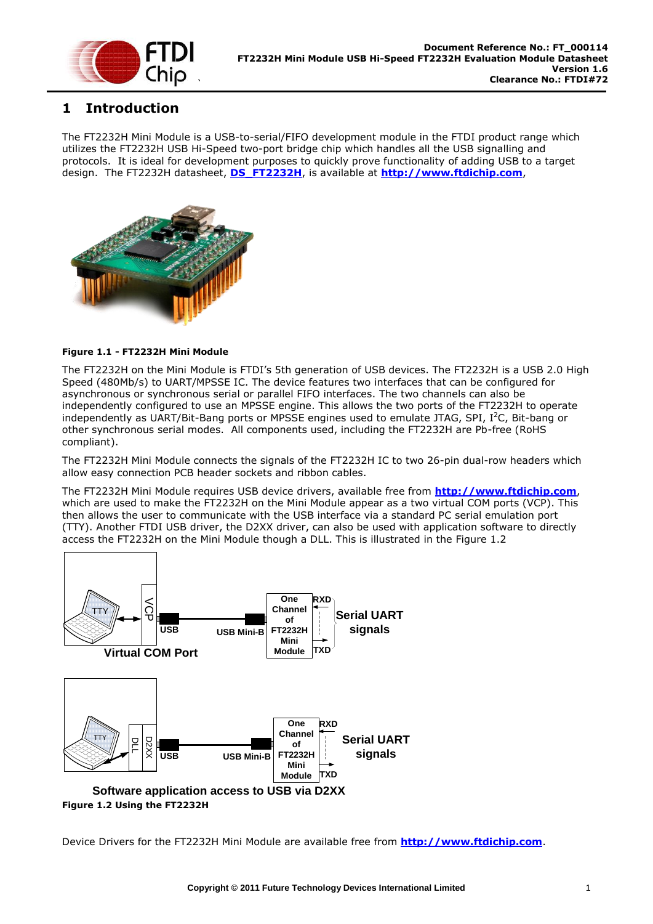

## <span id="page-1-1"></span>**1 Introduction**

The FT2232H Mini Module is a USB-to-serial/FIFO development module in the FTDI product range which utilizes the FT2232H USB Hi-Speed two-port bridge chip which handles all the USB signalling and protocols. It is ideal for development purposes to quickly prove functionality of adding USB to a target design. The FT2232H datasheet, **[DS\\_FT2232H](http://ftdichip.com/Documents/DataSheets/DS_FT2232H_V110.pdf)**, is available at **[http://www.ftdichip.com](http://www.ftdichip.com/)**,



#### **Figure 1.1 - FT2232H Mini Module**

The FT2232H on the Mini Module is FTDI's 5th generation of USB devices. The FT2232H is a USB 2.0 High Speed (480Mb/s) to UART/MPSSE IC. The device features two interfaces that can be configured for asynchronous or synchronous serial or parallel FIFO interfaces. The two channels can also be independently configured to use an MPSSE engine. This allows the two ports of the FT2232H to operate independently as UART/Bit-Bang ports or MPSSE engines used to emulate JTAG, SPI, I<sup>2</sup>C, Bit-bang or other synchronous serial modes. All components used, including the FT2232H are Pb-free (RoHS compliant).

The FT2232H Mini Module connects the signals of the FT2232H IC to two 26-pin dual-row headers which allow easy connection PCB header sockets and ribbon cables.

The FT2232H Mini Module requires USB device drivers, available free from **[http://www.ftdichip.com](http://www.ftdichip.com/)**, which are used to make the FT2232H on the Mini Module appear as a two virtual COM ports (VCP). This then allows the user to communicate with the USB interface via a standard PC serial emulation port (TTY). Another FTDI USB driver, the D2XX driver, can also be used with application software to directly access the FT2232H on the Mini Module though a DLL. This is illustrated in the [Figure 1.2](#page-1-0)



<span id="page-1-0"></span>Device Drivers for the FT2232H Mini Module are available free from **[http://www.ftdichip.com](http://www.ftdichip.com/)**.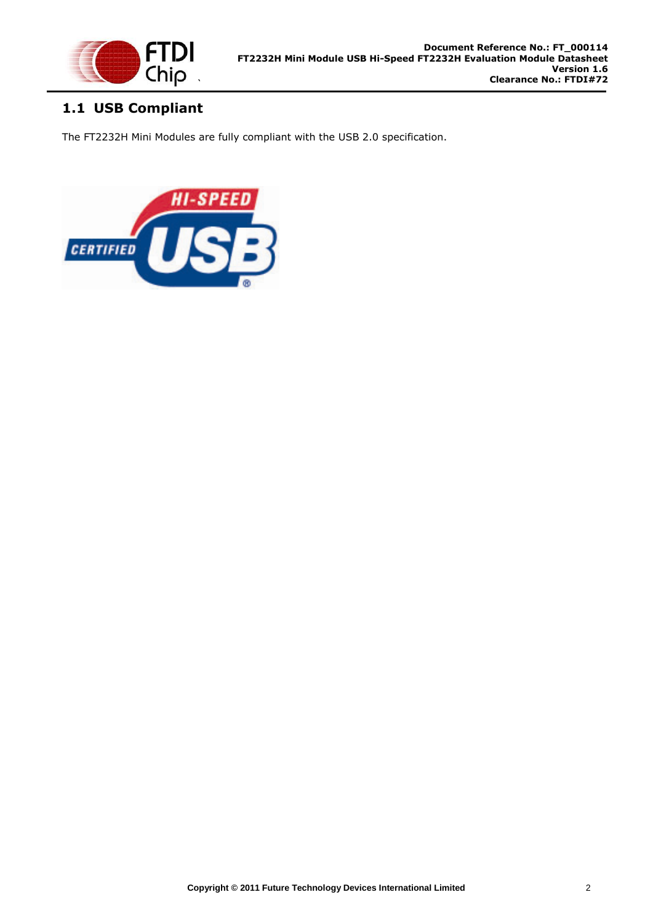

## <span id="page-2-0"></span>**1.1 USB Compliant**

The FT2232H Mini Modules are fully compliant with the USB 2.0 specification.

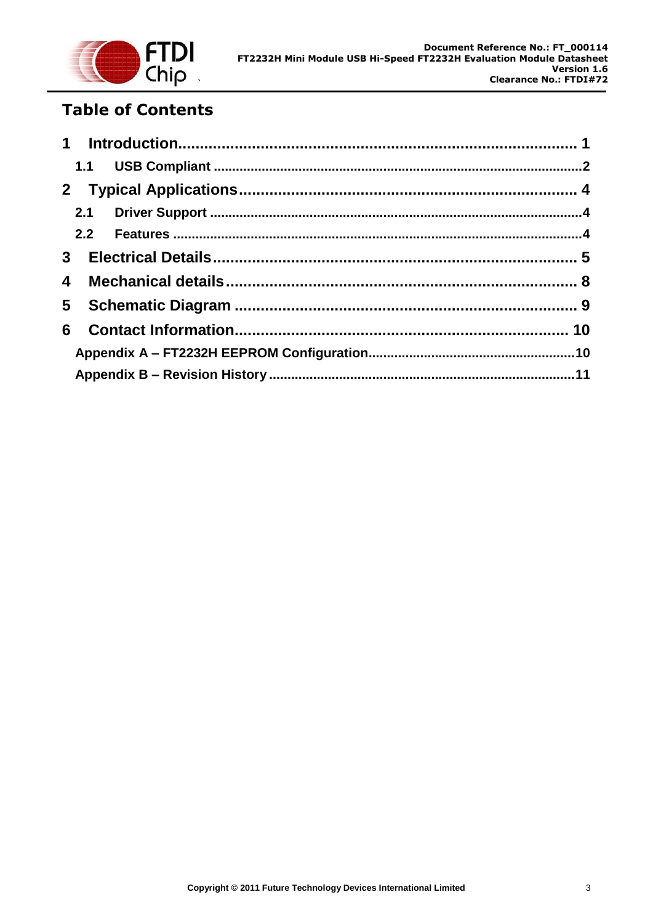

## **Table of Contents**

| $\overline{\mathbf{4}}$ |  |  |
|-------------------------|--|--|
|                         |  |  |
| 6                       |  |  |
|                         |  |  |
|                         |  |  |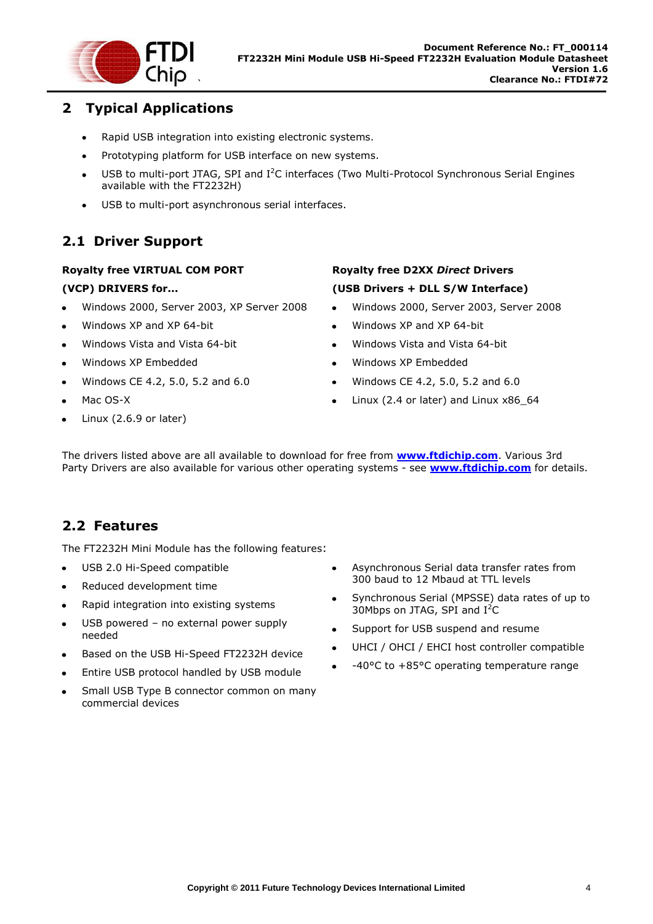

## <span id="page-4-0"></span>**2 Typical Applications**

- Rapid USB integration into existing electronic systems.  $\bullet$
- Prototyping platform for USB interface on new systems.  $\bullet$
- USB to multi-port JTAG, SPI and I<sup>2</sup>C interfaces (Two Multi-Protocol Synchronous Serial Engines  $\bullet$ available with the FT2232H)
- USB to multi-port asynchronous serial interfaces.  $\bullet$

## <span id="page-4-1"></span>**2.1 Driver Support**

#### **Royalty free VIRTUAL COM PORT**

#### **(VCP) DRIVERS for...**

- Windows 2000, Server 2003, XP Server 2008
- Windows XP and XP 64-bit
- Windows Vista and Vista 64-bit
- Windows XP Embedded
- Windows CE 4.2, 5.0, 5.2 and 6.0
- Mac OS-X
- Linux (2.6.9 or later)

### **Royalty free D2XX** *Direct* **Drivers (USB Drivers + DLL S/W Interface)**

- Windows 2000, Server 2003, Server 2008
- Windows XP and XP 64-bit
- Windows Vista and Vista 64-bit
- Windows XP Embedded
- Windows CE 4.2, 5.0, 5.2 and 6.0
- Linux (2.4 or later) and Linux x86\_64  $\bullet$

The drivers listed above are all available to download for free from **[www.ftdichip.com](http://www.ftdichip.com/)**. Various 3rd Party Drivers are also available for various other operating systems - see **[www.ftdichip.com](http://www.ftdichip.com/)** for details.

## <span id="page-4-2"></span>**2.2 Features**

The FT2232H Mini Module has the following features:

- USB 2.0 Hi-Speed compatible  $\bullet$
- Reduced development time  $\bullet$
- Rapid integration into existing systems  $\bullet$
- USB powered no external power supply  $\bullet$ needed
- Based on the USB Hi-Speed FT2232H device
- Entire USB protocol handled by USB module
- Small USB Type B connector common on many commercial devices
- $\bullet$ Asynchronous Serial data transfer rates from 300 baud to 12 Mbaud at TTL levels
- Synchronous Serial (MPSSE) data rates of up to 30Mbps on JTAG, SPI and  $I^2C$
- Support for USB suspend and resume
- UHCI / OHCI / EHCI host controller compatible
- -40°C to +85°C operating temperature range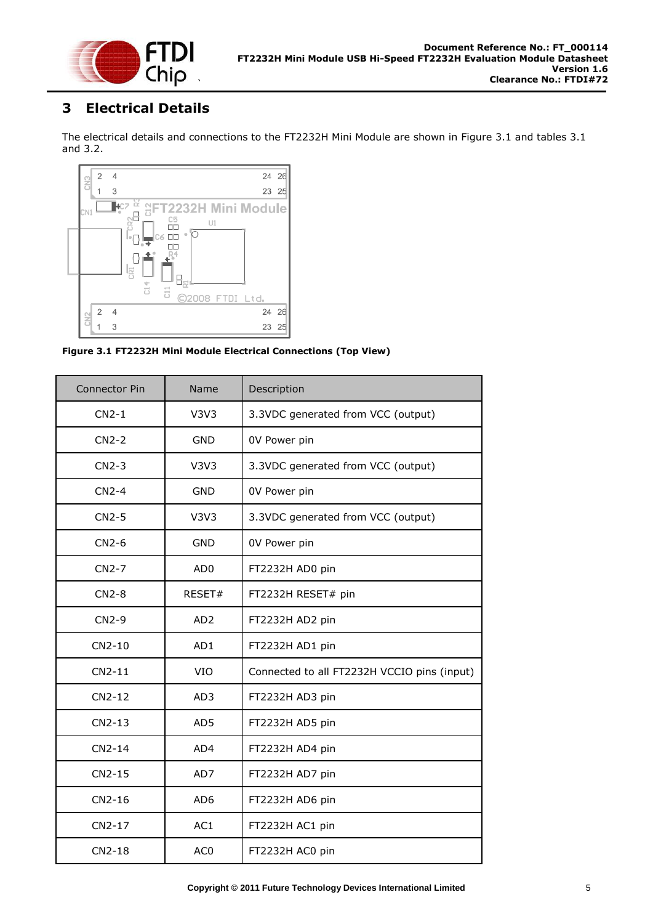

## <span id="page-5-0"></span>**3 Electrical Details**

The electrical details and connections to the FT2232H Mini Module are shown in Figure 3.1 and tables 3.1 and 3.2.



**Figure 3.1 FT2232H Mini Module Electrical Connections (Top View)**

| <b>Connector Pin</b> | Name            | Description                                 |
|----------------------|-----------------|---------------------------------------------|
| $CN2-1$              | V3V3            | 3.3VDC generated from VCC (output)          |
| $CN2-2$              | <b>GND</b>      | 0V Power pin                                |
| $CN2-3$              | V3V3            | 3.3VDC generated from VCC (output)          |
| $CN2-4$              | <b>GND</b>      | 0V Power pin                                |
| $CN2-5$              | V3V3            | 3.3VDC generated from VCC (output)          |
| $CN2-6$              | <b>GND</b>      | 0V Power pin                                |
| $CN2-7$              | AD <sub>0</sub> | FT2232H AD0 pin                             |
| $CN2-8$              | RESET#          | FT2232H RESET# pin                          |
| $CN2-9$              | AD <sub>2</sub> | FT2232H AD2 pin                             |
| CN2-10               | AD1             | FT2232H AD1 pin                             |
| $CN2-11$             | <b>VIO</b>      | Connected to all FT2232H VCCIO pins (input) |
| CN2-12               | AD3             | FT2232H AD3 pin                             |
| CN2-13               | AD5             | FT2232H AD5 pin                             |
| $CN2-14$             | AD4             | FT2232H AD4 pin                             |
| CN2-15               | AD7             | FT2232H AD7 pin                             |
| CN2-16               | AD <sub>6</sub> | FT2232H AD6 pin                             |
| CN2-17               | AC1             | FT2232H AC1 pin                             |
| $CN2-18$             | AC <sub>0</sub> | FT2232H AC0 pin                             |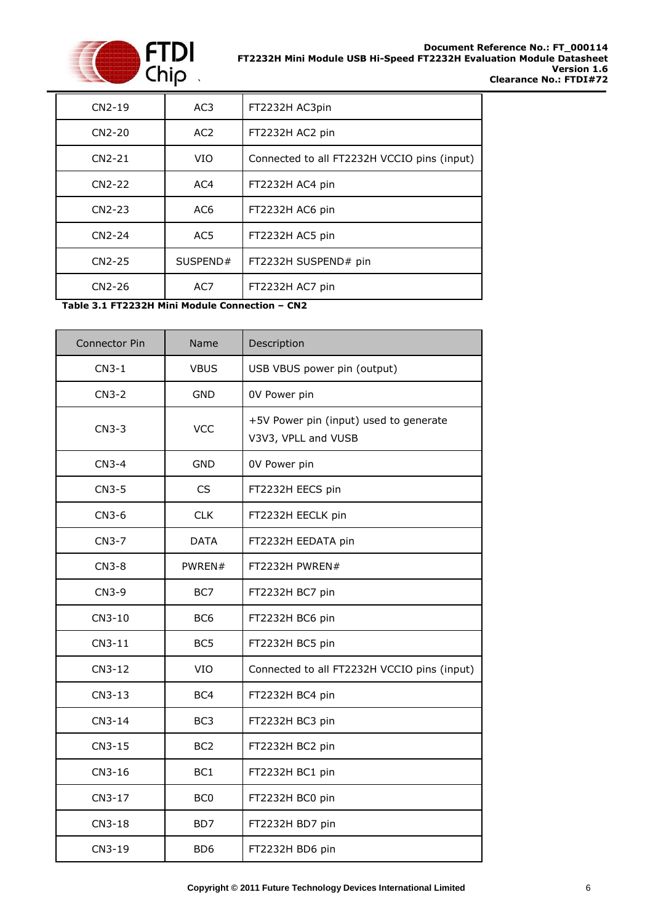

| $CN2-19$ | AC3             | FT2232H AC3pin                              |
|----------|-----------------|---------------------------------------------|
| $CN2-20$ | AC <sub>2</sub> | FT2232H AC2 pin                             |
| $CN2-21$ | VIO             | Connected to all FT2232H VCCIO pins (input) |
| $CN2-22$ | AC4             | FT2232H AC4 pin                             |
| $CN2-23$ | AC <sub>6</sub> | FT2232H AC6 pin                             |
| $CN2-24$ | AC5             | FT2232H AC5 pin                             |
| CN2-25   | SUSPEND#        | FT2232H SUSPEND# pin                        |
| CN2-26   | AC7             | FT2232H AC7 pin                             |

**Table 3.1 FT2232H Mini Module Connection – CN2**

| Connector Pin | Name            | Description                                                   |
|---------------|-----------------|---------------------------------------------------------------|
| $CN3-1$       | <b>VBUS</b>     | USB VBUS power pin (output)                                   |
| $CN3-2$       | <b>GND</b>      | 0V Power pin                                                  |
| $CN3-3$       | <b>VCC</b>      | +5V Power pin (input) used to generate<br>V3V3, VPLL and VUSB |
| $CN3-4$       | <b>GND</b>      | 0V Power pin                                                  |
| $CN3-5$       | <b>CS</b>       | FT2232H EECS pin                                              |
| $CN3-6$       | <b>CLK</b>      | FT2232H EECLK pin                                             |
| CN3-7         | <b>DATA</b>     | FT2232H EEDATA pin                                            |
| $CN3-8$       | PWREN#          | FT2232H PWREN#                                                |
| CN3-9         | BC7             | FT2232H BC7 pin                                               |
| CN3-10        | BC <sub>6</sub> | FT2232H BC6 pin                                               |
| CN3-11        | BC <sub>5</sub> | FT2232H BC5 pin                                               |
| CN3-12        | VIO             | Connected to all FT2232H VCCIO pins (input)                   |
| CN3-13        | BC4             | FT2232H BC4 pin                                               |
| CN3-14        | BC <sub>3</sub> | FT2232H BC3 pin                                               |
| CN3-15        | BC <sub>2</sub> | FT2232H BC2 pin                                               |
| CN3-16        | BC <sub>1</sub> | FT2232H BC1 pin                                               |
| CN3-17        | BC <sub>0</sub> | FT2232H BC0 pin                                               |
| CN3-18        | BD7             | FT2232H BD7 pin                                               |
| CN3-19        | BD <sub>6</sub> | FT2232H BD6 pin                                               |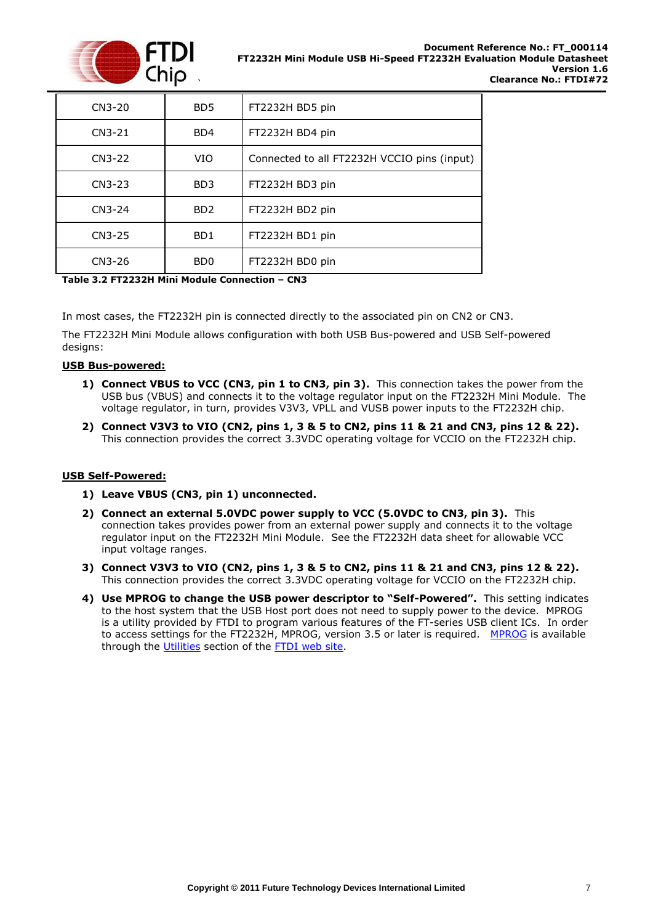

| $CN3-20$ | BD <sub>5</sub>             | FT2232H BD5 pin                             |
|----------|-----------------------------|---------------------------------------------|
| $CN3-21$ | B <sub>D</sub> 4            | FT2232H BD4 pin                             |
| CN3-22   | VIO                         | Connected to all FT2232H VCCIO pins (input) |
| $CN3-23$ | BD3                         | FT2232H BD3 pin                             |
| CN3-24   | B <sub>D</sub> 2            | FT2232H BD2 pin                             |
| CN3-25   | B <sub>D</sub> 1            | FT2232H BD1 pin                             |
| CN3-26   | B <sub>D</sub> <sub>0</sub> | FT2232H BD0 pin                             |

**Table 3.2 FT2232H Mini Module Connection – CN3**

In most cases, the FT2232H pin is connected directly to the associated pin on CN2 or CN3.

The FT2232H Mini Module allows configuration with both USB Bus-powered and USB Self-powered designs:

#### **USB Bus-powered:**

- **1) Connect VBUS to VCC (CN3, pin 1 to CN3, pin 3).** This connection takes the power from the USB bus (VBUS) and connects it to the voltage regulator input on the FT2232H Mini Module. The voltage regulator, in turn, provides V3V3, VPLL and VUSB power inputs to the FT2232H chip.
- **2) Connect V3V3 to VIO (CN2, pins 1, 3 & 5 to CN2, pins 11 & 21 and CN3, pins 12 & 22).**  This connection provides the correct 3.3VDC operating voltage for VCCIO on the FT2232H chip.

#### **USB Self-Powered:**

- **1) Leave VBUS (CN3, pin 1) unconnected.**
- **2) Connect an external 5.0VDC power supply to VCC (5.0VDC to CN3, pin 3).** This connection takes provides power from an external power supply and connects it to the voltage regulator input on the FT2232H Mini Module. See the FT2232H data sheet for allowable VCC input voltage ranges.
- **3) Connect V3V3 to VIO (CN2, pins 1, 3 & 5 to CN2, pins 11 & 21 and CN3, pins 12 & 22).**  This connection provides the correct 3.3VDC operating voltage for VCCIO on the FT2232H chip.
- **4) Use MPROG to change the USB power descriptor to "Self-Powered".** This setting indicates to the host system that the USB Host port does not need to supply power to the device. MPROG is a utility provided by FTDI to program various features of the FT-series USB client ICs. In order to access settings for the FT2232H, MPROG, version 3.5 or later is required. [MPROG](http://www.ftdichip.com/Resources/Utilities/MProg3.5.zip) is available through the [Utilities](http://ftdichip.com/Resources/Utilities.htm) section of the [FTDI web site.](http://www.ftdichip.com/)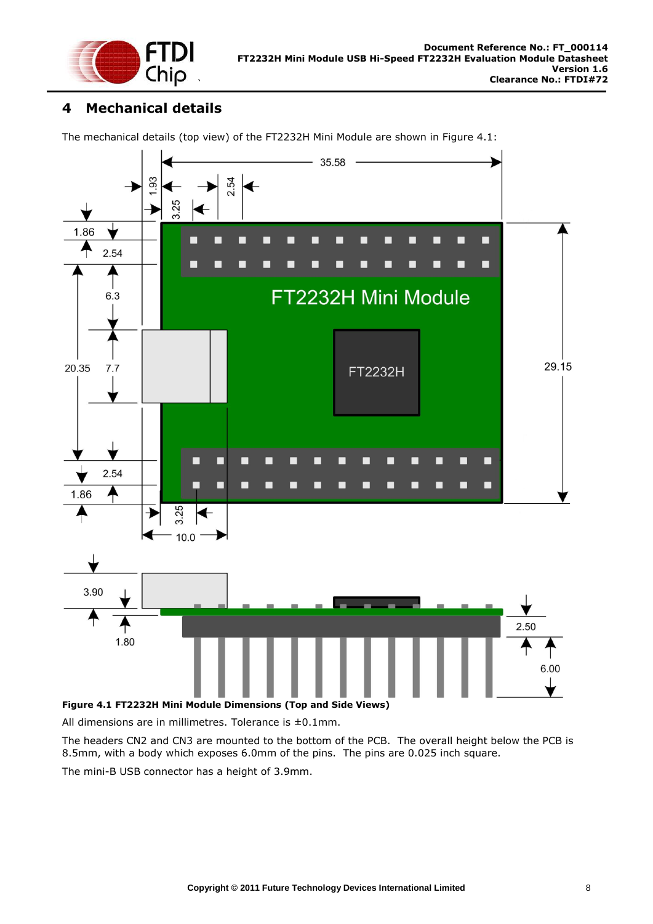

### <span id="page-8-0"></span>**4 Mechanical details**

The mechanical details (top view) of the FT2232H Mini Module are shown in [Figure 4.1:](#page-8-1)



<span id="page-8-1"></span>**Figure 4.1 FT2232H Mini Module Dimensions (Top and Side Views)**

All dimensions are in millimetres. Tolerance is ±0.1mm.

The headers CN2 and CN3 are mounted to the bottom of the PCB. The overall height below the PCB is 8.5mm, with a body which exposes 6.0mm of the pins. The pins are 0.025 inch square.

The mini-B USB connector has a height of 3.9mm.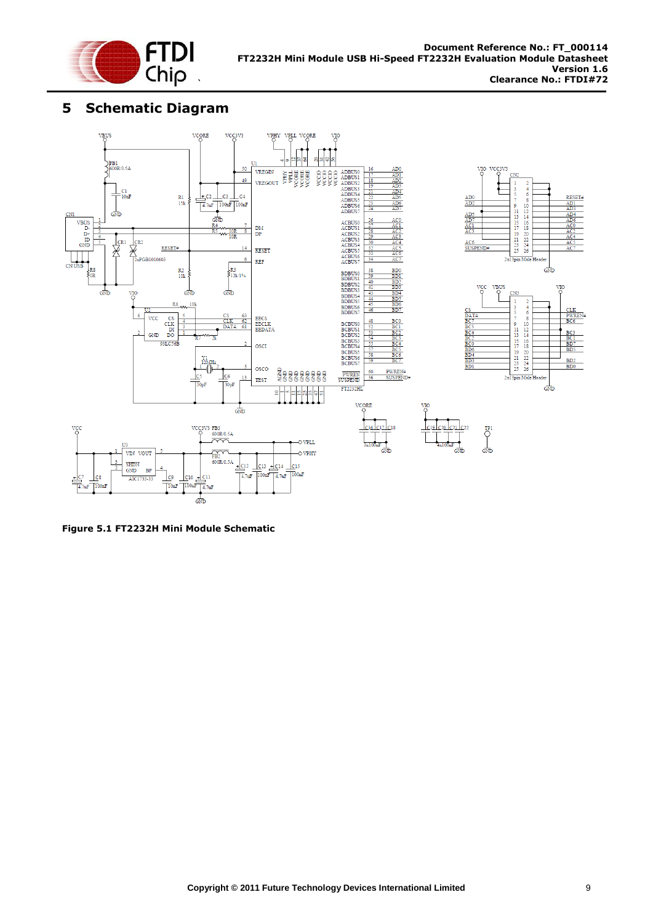

## <span id="page-9-0"></span>**5 Schematic Diagram**



**Figure 5.1 FT2232H Mini Module Schematic**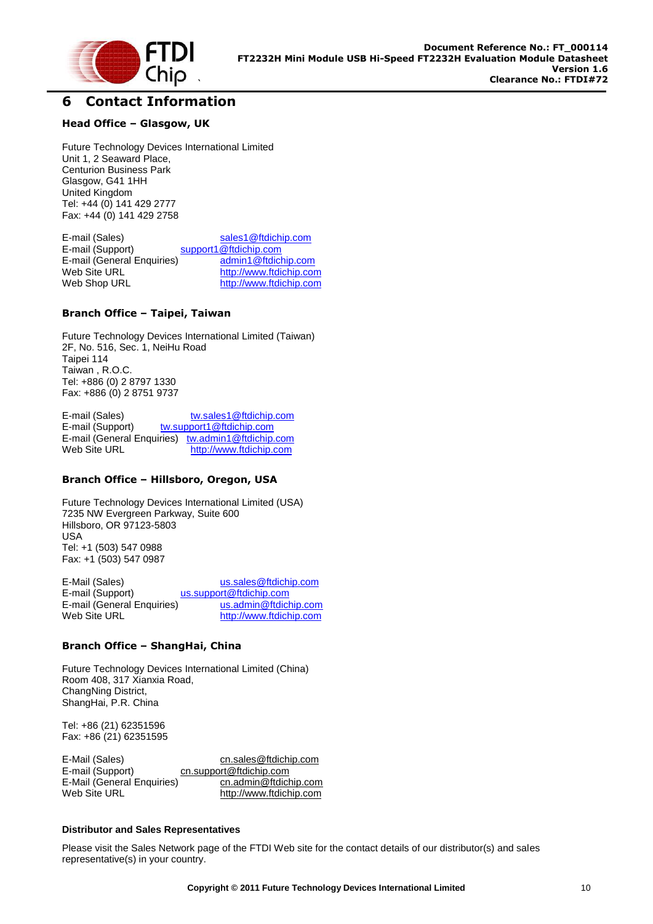

### <span id="page-10-0"></span>**6 Contact Information**

#### **Head Office – Glasgow, UK**

Future Technology Devices International Limited Unit 1, 2 Seaward Place, Centurion Business Park Glasgow, G41 1HH United Kingdom Tel: +44 (0) 141 429 2777 Fax: +44 (0) 141 429 2758

E-mail (Sales) [sales1@ftdichip.com](mailto:sales1@ftdichip.com) E-mail (Support) [support1@ftdichip.com](mailto:support1@ftdichip.com) E-mail (General Enquiries) [admin1@ftdichip.com](mailto:admin1@ftdichip.com)<br>Web Site URL build build build http://www.ftdichip.com Web Site URL [http://www.ftdichip.com](http://www.ftdichip.com/)<br>
Web Shop URL http://www.ftdichip.com [http://www.ftdichip.com](http://www.ftdichip.com/)

#### **Branch Office – Taipei, Taiwan**

Future Technology Devices International Limited (Taiwan) 2F, No. 516, Sec. 1, NeiHu Road Taipei 114 Taiwan , R.O.C. Tel: +886 (0) 2 8797 1330 Fax: +886 (0) 2 8751 9737

E-mail (Sales) [tw.sales1@ftdichip.com](mailto:tw.sales1@ftdichip.com) E-mail (Support) [tw.support1@ftdichip.com](mailto:tw.support1@ftdichip.com) E-mail (General Enquiries) [tw.admin1@ftdichip.com](mailto:tw.admin1@ftdichip.com)<br>Web Site URL http://www.ftdichip.com [http://www.ftdichip.com](http://www.ftdichip.com/)

#### **Branch Office – Hillsboro, Oregon, USA**

Future Technology Devices International Limited (USA) 7235 NW Evergreen Parkway, Suite 600 Hillsboro, OR 97123-5803 USA Tel: +1 (503) 547 0988 Fax: +1 (503) 547 0987

E-Mail (Sales) [us.sales@ftdichip.com](mailto:us.sales@ftdichip.com) E-mail (Support) [us.support@ftdichip.com](mailto:us.support@ftdichip.com) E-mail (General Enquiries) [us.admin@ftdichip.com](mailto:us.admin@ftdichip.com) Web Site URL [http://www.ftdichip.com](http://www.ftdichip.com/)

#### **Branch Office – ShangHai, China**

Future Technology Devices International Limited (China) Room 408, 317 Xianxia Road, ChangNing District, ShangHai, P.R. China

Tel: +86 (21) 62351596 Fax: +86 (21) 62351595

| E-Mail (Sales)             | cn.sales@ftdichip.com   |
|----------------------------|-------------------------|
| E-mail (Support)           | cn.support@ftdichip.com |
| E-Mail (General Enquiries) | cn.admin@ftdichip.com   |
| Web Site URL               | http://www.ftdichip.com |

#### **Distributor and Sales Representatives**

Please visit the Sales Network page of the FTDI Web site for the contact details of our distributor(s) and sales representative(s) in your country.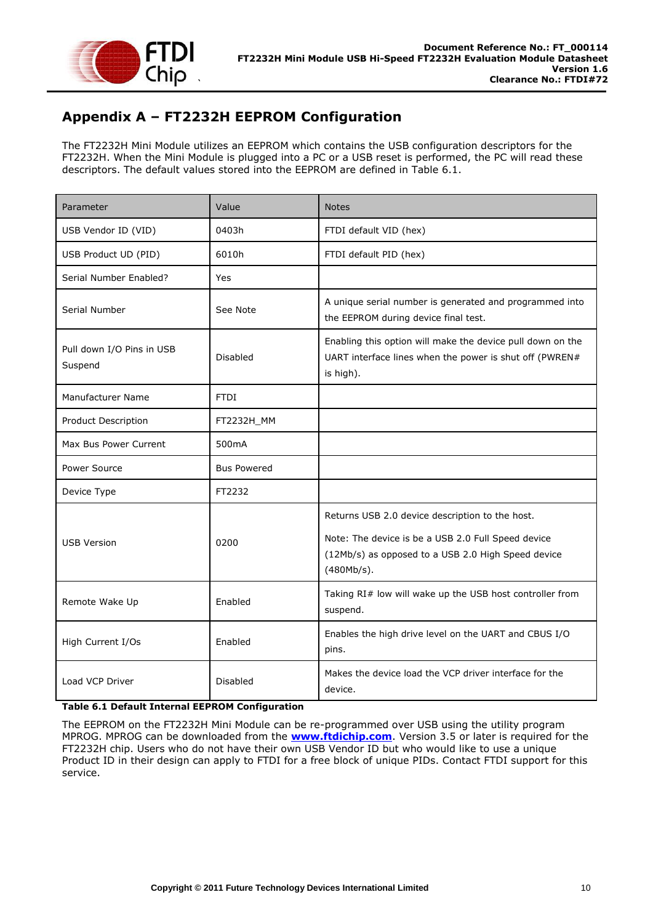

## <span id="page-11-0"></span>**Appendix A – FT2232H EEPROM Configuration**

The FT2232H Mini Module utilizes an EEPROM which contains the USB configuration descriptors for the FT2232H. When the Mini Module is plugged into a PC or a USB reset is performed, the PC will read these descriptors. The default values stored into the EEPROM are defined in [Table 6.1.](#page-11-1)

| Parameter                            | Value              | <b>Notes</b>                                                                                                                                                              |
|--------------------------------------|--------------------|---------------------------------------------------------------------------------------------------------------------------------------------------------------------------|
| USB Vendor ID (VID)                  | 0403h              | FTDI default VID (hex)                                                                                                                                                    |
| USB Product UD (PID)                 | 6010h              | FTDI default PID (hex)                                                                                                                                                    |
| Serial Number Enabled?               | Yes                |                                                                                                                                                                           |
| Serial Number                        | See Note           | A unique serial number is generated and programmed into<br>the EEPROM during device final test.                                                                           |
| Pull down I/O Pins in USB<br>Suspend | <b>Disabled</b>    | Enabling this option will make the device pull down on the<br>UART interface lines when the power is shut off (PWREN#<br>is high).                                        |
| Manufacturer Name                    | <b>FTDI</b>        |                                                                                                                                                                           |
| Product Description                  | FT2232H_MM         |                                                                                                                                                                           |
| Max Bus Power Current                | 500 <sub>m</sub> A |                                                                                                                                                                           |
| Power Source                         | <b>Bus Powered</b> |                                                                                                                                                                           |
| Device Type                          | FT2232             |                                                                                                                                                                           |
| <b>USB Version</b>                   | 0200               | Returns USB 2.0 device description to the host.<br>Note: The device is be a USB 2.0 Full Speed device<br>(12Mb/s) as opposed to a USB 2.0 High Speed device<br>(480Mb/s). |
| Remote Wake Up                       | Enabled            | Taking RI# low will wake up the USB host controller from<br>suspend.                                                                                                      |
| High Current I/Os                    | Enabled            | Enables the high drive level on the UART and CBUS I/O<br>pins.                                                                                                            |
| Load VCP Driver                      | <b>Disabled</b>    | Makes the device load the VCP driver interface for the<br>device.                                                                                                         |

#### <span id="page-11-1"></span>**Table 6.1 Default Internal EEPROM Configuration**

The EEPROM on the FT2232H Mini Module can be re-programmed over USB using the utility program MPROG. MPROG can be downloaded from the **[www.ftdichip.com](file:///C:/Users/bob.recny.FTDI/Documents/SharePoint%20Drafts/www.ftdichip.com)**. Version 3.5 or later is required for the FT2232H chip. Users who do not have their own USB Vendor ID but who would like to use a unique Product ID in their design can apply to FTDI for a free block of unique PIDs. Contact FTDI support for this service.